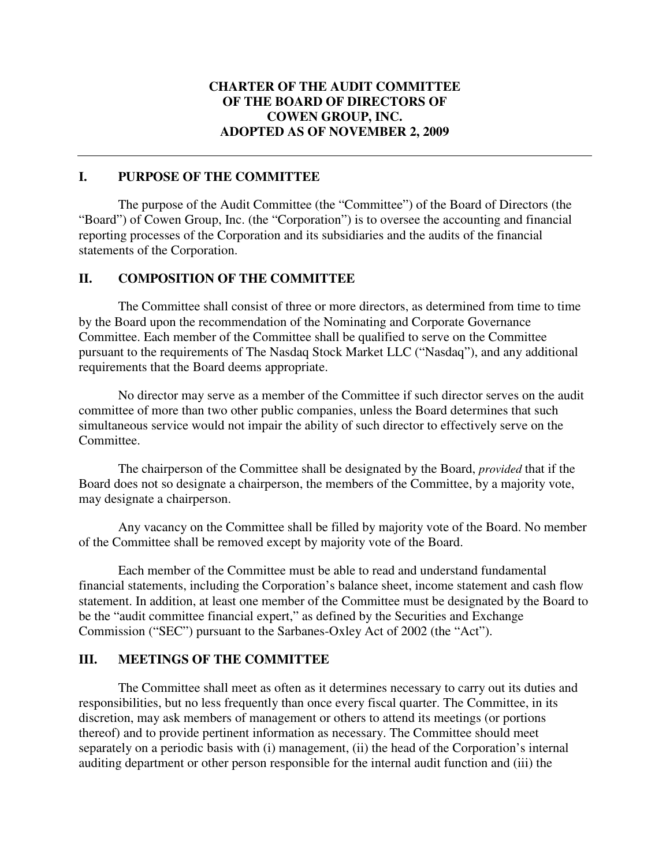### **CHARTER OF THE AUDIT COMMITTEE OF THE BOARD OF DIRECTORS OF COWEN GROUP, INC. ADOPTED AS OF NOVEMBER 2, 2009**

### **I. PURPOSE OF THE COMMITTEE**

The purpose of the Audit Committee (the "Committee") of the Board of Directors (the "Board") of Cowen Group, Inc. (the "Corporation") is to oversee the accounting and financial reporting processes of the Corporation and its subsidiaries and the audits of the financial statements of the Corporation.

#### **II. COMPOSITION OF THE COMMITTEE**

The Committee shall consist of three or more directors, as determined from time to time by the Board upon the recommendation of the Nominating and Corporate Governance Committee. Each member of the Committee shall be qualified to serve on the Committee pursuant to the requirements of The Nasdaq Stock Market LLC ("Nasdaq"), and any additional requirements that the Board deems appropriate.

No director may serve as a member of the Committee if such director serves on the audit committee of more than two other public companies, unless the Board determines that such simultaneous service would not impair the ability of such director to effectively serve on the Committee.

The chairperson of the Committee shall be designated by the Board, *provided* that if the Board does not so designate a chairperson, the members of the Committee, by a majority vote, may designate a chairperson.

Any vacancy on the Committee shall be filled by majority vote of the Board. No member of the Committee shall be removed except by majority vote of the Board.

Each member of the Committee must be able to read and understand fundamental financial statements, including the Corporation's balance sheet, income statement and cash flow statement. In addition, at least one member of the Committee must be designated by the Board to be the "audit committee financial expert," as defined by the Securities and Exchange Commission ("SEC") pursuant to the Sarbanes-Oxley Act of 2002 (the "Act").

### **III. MEETINGS OF THE COMMITTEE**

The Committee shall meet as often as it determines necessary to carry out its duties and responsibilities, but no less frequently than once every fiscal quarter. The Committee, in its discretion, may ask members of management or others to attend its meetings (or portions thereof) and to provide pertinent information as necessary. The Committee should meet separately on a periodic basis with (i) management, (ii) the head of the Corporation's internal auditing department or other person responsible for the internal audit function and (iii) the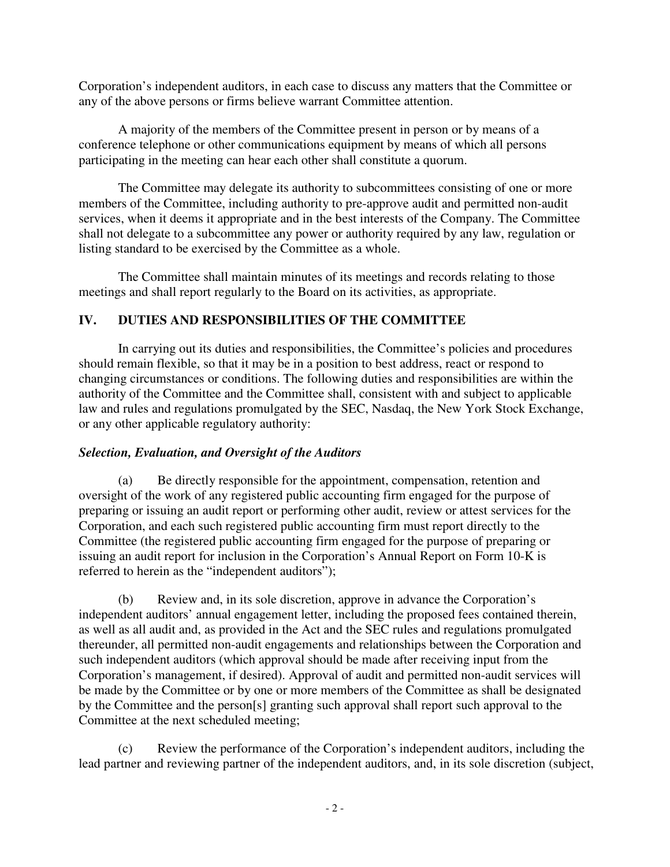Corporation's independent auditors, in each case to discuss any matters that the Committee or any of the above persons or firms believe warrant Committee attention.

A majority of the members of the Committee present in person or by means of a conference telephone or other communications equipment by means of which all persons participating in the meeting can hear each other shall constitute a quorum.

The Committee may delegate its authority to subcommittees consisting of one or more members of the Committee, including authority to pre-approve audit and permitted non-audit services, when it deems it appropriate and in the best interests of the Company. The Committee shall not delegate to a subcommittee any power or authority required by any law, regulation or listing standard to be exercised by the Committee as a whole.

The Committee shall maintain minutes of its meetings and records relating to those meetings and shall report regularly to the Board on its activities, as appropriate.

## **IV. DUTIES AND RESPONSIBILITIES OF THE COMMITTEE**

In carrying out its duties and responsibilities, the Committee's policies and procedures should remain flexible, so that it may be in a position to best address, react or respond to changing circumstances or conditions. The following duties and responsibilities are within the authority of the Committee and the Committee shall, consistent with and subject to applicable law and rules and regulations promulgated by the SEC, Nasdaq, the New York Stock Exchange, or any other applicable regulatory authority:

### *Selection, Evaluation, and Oversight of the Auditors*

(a) Be directly responsible for the appointment, compensation, retention and oversight of the work of any registered public accounting firm engaged for the purpose of preparing or issuing an audit report or performing other audit, review or attest services for the Corporation, and each such registered public accounting firm must report directly to the Committee (the registered public accounting firm engaged for the purpose of preparing or issuing an audit report for inclusion in the Corporation's Annual Report on Form 10-K is referred to herein as the "independent auditors");

(b) Review and, in its sole discretion, approve in advance the Corporation's independent auditors' annual engagement letter, including the proposed fees contained therein, as well as all audit and, as provided in the Act and the SEC rules and regulations promulgated thereunder, all permitted non-audit engagements and relationships between the Corporation and such independent auditors (which approval should be made after receiving input from the Corporation's management, if desired). Approval of audit and permitted non-audit services will be made by the Committee or by one or more members of the Committee as shall be designated by the Committee and the person[s] granting such approval shall report such approval to the Committee at the next scheduled meeting;

(c) Review the performance of the Corporation's independent auditors, including the lead partner and reviewing partner of the independent auditors, and, in its sole discretion (subject,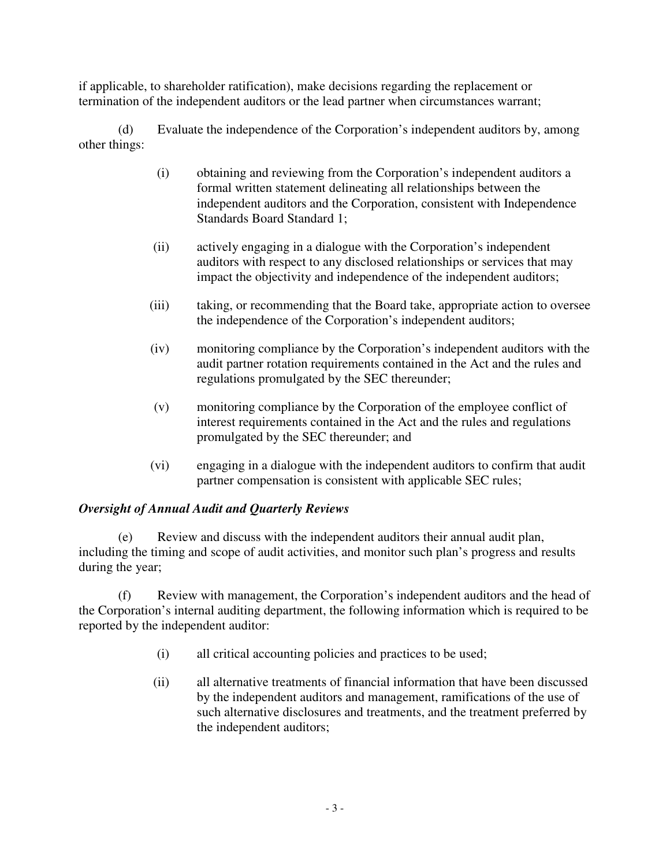if applicable, to shareholder ratification), make decisions regarding the replacement or termination of the independent auditors or the lead partner when circumstances warrant;

(d) Evaluate the independence of the Corporation's independent auditors by, among other things:

- (i) obtaining and reviewing from the Corporation's independent auditors a formal written statement delineating all relationships between the independent auditors and the Corporation, consistent with Independence Standards Board Standard 1;
- (ii) actively engaging in a dialogue with the Corporation's independent auditors with respect to any disclosed relationships or services that may impact the objectivity and independence of the independent auditors;
- (iii) taking, or recommending that the Board take, appropriate action to oversee the independence of the Corporation's independent auditors;
- (iv) monitoring compliance by the Corporation's independent auditors with the audit partner rotation requirements contained in the Act and the rules and regulations promulgated by the SEC thereunder;
- (v) monitoring compliance by the Corporation of the employee conflict of interest requirements contained in the Act and the rules and regulations promulgated by the SEC thereunder; and
- (vi) engaging in a dialogue with the independent auditors to confirm that audit partner compensation is consistent with applicable SEC rules;

# *Oversight of Annual Audit and Quarterly Reviews*

(e) Review and discuss with the independent auditors their annual audit plan, including the timing and scope of audit activities, and monitor such plan's progress and results during the year;

(f) Review with management, the Corporation's independent auditors and the head of the Corporation's internal auditing department, the following information which is required to be reported by the independent auditor:

- (i) all critical accounting policies and practices to be used;
- (ii) all alternative treatments of financial information that have been discussed by the independent auditors and management, ramifications of the use of such alternative disclosures and treatments, and the treatment preferred by the independent auditors;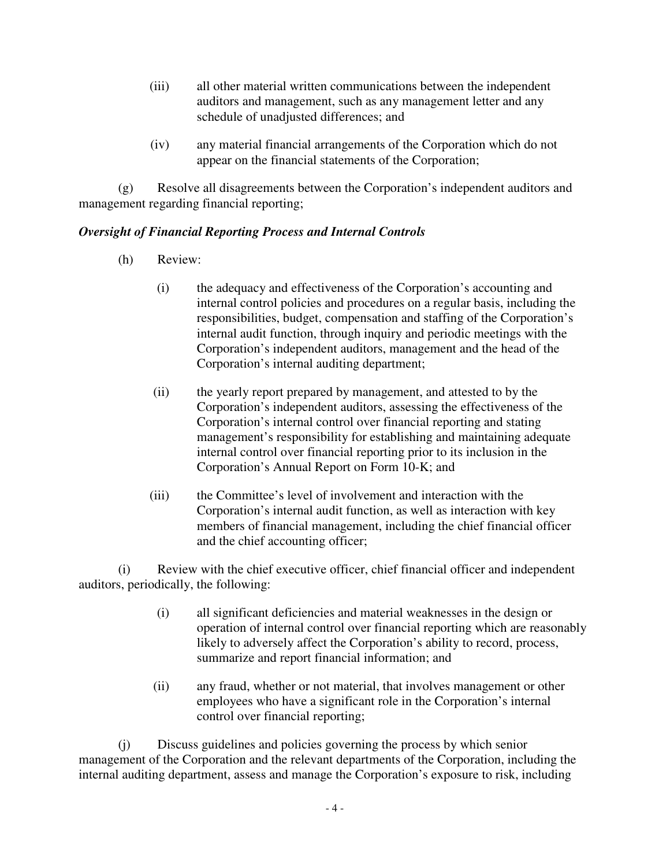- (iii) all other material written communications between the independent auditors and management, such as any management letter and any schedule of unadjusted differences; and
- (iv) any material financial arrangements of the Corporation which do not appear on the financial statements of the Corporation;

(g) Resolve all disagreements between the Corporation's independent auditors and management regarding financial reporting;

## *Oversight of Financial Reporting Process and Internal Controls*

- (h) Review:
	- (i) the adequacy and effectiveness of the Corporation's accounting and internal control policies and procedures on a regular basis, including the responsibilities, budget, compensation and staffing of the Corporation's internal audit function, through inquiry and periodic meetings with the Corporation's independent auditors, management and the head of the Corporation's internal auditing department;
	- (ii) the yearly report prepared by management, and attested to by the Corporation's independent auditors, assessing the effectiveness of the Corporation's internal control over financial reporting and stating management's responsibility for establishing and maintaining adequate internal control over financial reporting prior to its inclusion in the Corporation's Annual Report on Form 10-K; and
	- (iii) the Committee's level of involvement and interaction with the Corporation's internal audit function, as well as interaction with key members of financial management, including the chief financial officer and the chief accounting officer;

(i) Review with the chief executive officer, chief financial officer and independent auditors, periodically, the following:

- (i) all significant deficiencies and material weaknesses in the design or operation of internal control over financial reporting which are reasonably likely to adversely affect the Corporation's ability to record, process, summarize and report financial information; and
- (ii) any fraud, whether or not material, that involves management or other employees who have a significant role in the Corporation's internal control over financial reporting;

(j) Discuss guidelines and policies governing the process by which senior management of the Corporation and the relevant departments of the Corporation, including the internal auditing department, assess and manage the Corporation's exposure to risk, including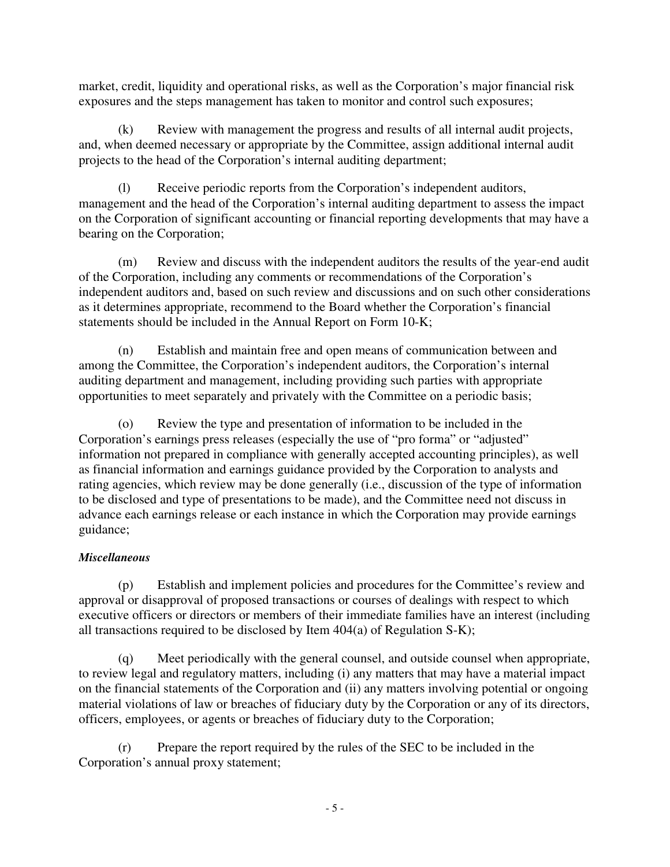market, credit, liquidity and operational risks, as well as the Corporation's major financial risk exposures and the steps management has taken to monitor and control such exposures;

(k) Review with management the progress and results of all internal audit projects, and, when deemed necessary or appropriate by the Committee, assign additional internal audit projects to the head of the Corporation's internal auditing department;

(l) Receive periodic reports from the Corporation's independent auditors, management and the head of the Corporation's internal auditing department to assess the impact on the Corporation of significant accounting or financial reporting developments that may have a bearing on the Corporation;

(m) Review and discuss with the independent auditors the results of the year-end audit of the Corporation, including any comments or recommendations of the Corporation's independent auditors and, based on such review and discussions and on such other considerations as it determines appropriate, recommend to the Board whether the Corporation's financial statements should be included in the Annual Report on Form 10-K;

(n) Establish and maintain free and open means of communication between and among the Committee, the Corporation's independent auditors, the Corporation's internal auditing department and management, including providing such parties with appropriate opportunities to meet separately and privately with the Committee on a periodic basis;

(o) Review the type and presentation of information to be included in the Corporation's earnings press releases (especially the use of "pro forma" or "adjusted" information not prepared in compliance with generally accepted accounting principles), as well as financial information and earnings guidance provided by the Corporation to analysts and rating agencies, which review may be done generally (i.e., discussion of the type of information to be disclosed and type of presentations to be made), and the Committee need not discuss in advance each earnings release or each instance in which the Corporation may provide earnings guidance;

# *Miscellaneous*

(p) Establish and implement policies and procedures for the Committee's review and approval or disapproval of proposed transactions or courses of dealings with respect to which executive officers or directors or members of their immediate families have an interest (including all transactions required to be disclosed by Item 404(a) of Regulation S-K);

(q) Meet periodically with the general counsel, and outside counsel when appropriate, to review legal and regulatory matters, including (i) any matters that may have a material impact on the financial statements of the Corporation and (ii) any matters involving potential or ongoing material violations of law or breaches of fiduciary duty by the Corporation or any of its directors, officers, employees, or agents or breaches of fiduciary duty to the Corporation;

(r) Prepare the report required by the rules of the SEC to be included in the Corporation's annual proxy statement;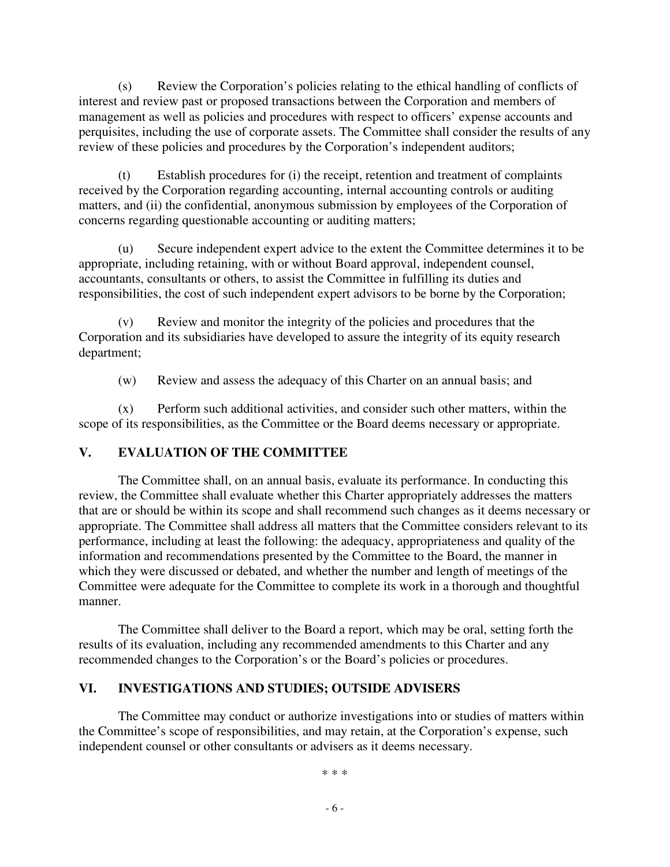(s) Review the Corporation's policies relating to the ethical handling of conflicts of interest and review past or proposed transactions between the Corporation and members of management as well as policies and procedures with respect to officers' expense accounts and perquisites, including the use of corporate assets. The Committee shall consider the results of any review of these policies and procedures by the Corporation's independent auditors;

(t) Establish procedures for (i) the receipt, retention and treatment of complaints received by the Corporation regarding accounting, internal accounting controls or auditing matters, and (ii) the confidential, anonymous submission by employees of the Corporation of concerns regarding questionable accounting or auditing matters;

(u) Secure independent expert advice to the extent the Committee determines it to be appropriate, including retaining, with or without Board approval, independent counsel, accountants, consultants or others, to assist the Committee in fulfilling its duties and responsibilities, the cost of such independent expert advisors to be borne by the Corporation;

(v) Review and monitor the integrity of the policies and procedures that the Corporation and its subsidiaries have developed to assure the integrity of its equity research department;

(w) Review and assess the adequacy of this Charter on an annual basis; and

(x) Perform such additional activities, and consider such other matters, within the scope of its responsibilities, as the Committee or the Board deems necessary or appropriate.

### **V. EVALUATION OF THE COMMITTEE**

The Committee shall, on an annual basis, evaluate its performance. In conducting this review, the Committee shall evaluate whether this Charter appropriately addresses the matters that are or should be within its scope and shall recommend such changes as it deems necessary or appropriate. The Committee shall address all matters that the Committee considers relevant to its performance, including at least the following: the adequacy, appropriateness and quality of the information and recommendations presented by the Committee to the Board, the manner in which they were discussed or debated, and whether the number and length of meetings of the Committee were adequate for the Committee to complete its work in a thorough and thoughtful manner.

The Committee shall deliver to the Board a report, which may be oral, setting forth the results of its evaluation, including any recommended amendments to this Charter and any recommended changes to the Corporation's or the Board's policies or procedures.

### **VI. INVESTIGATIONS AND STUDIES; OUTSIDE ADVISERS**

The Committee may conduct or authorize investigations into or studies of matters within the Committee's scope of responsibilities, and may retain, at the Corporation's expense, such independent counsel or other consultants or advisers as it deems necessary.

\* \* \*